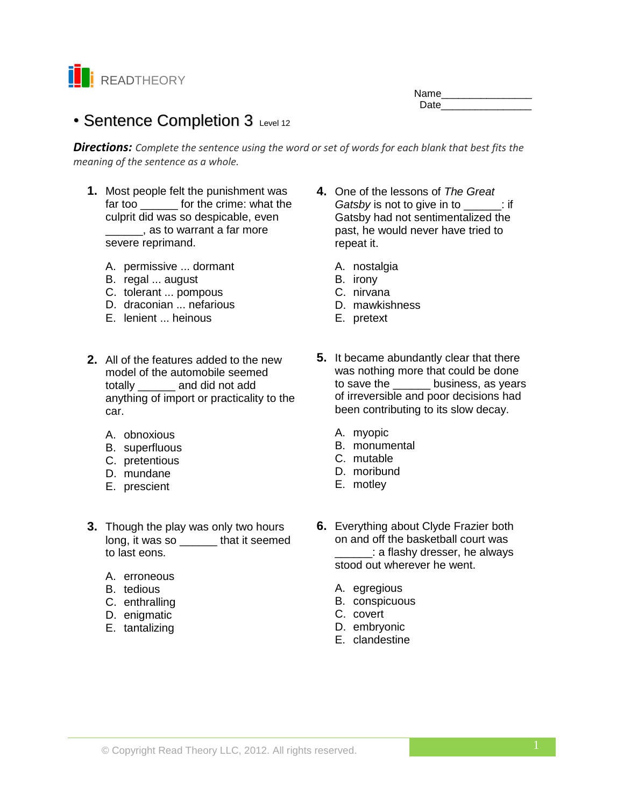

| Name |  |
|------|--|
| Date |  |

# • Sentence Completion 3 Level 12

*Directions: Complete the sentence using the word or set of words for each blank that best fits the meaning of the sentence as a whole.*

- **1.** Most people felt the punishment was far too **can be for the crime:** what the culprit did was so despicable, even  $\sim$ , as to warrant a far more severe reprimand.
	- A. permissive ... dormant
	- B. regal ... august
	- C. tolerant ... pompous
	- D. draconian ... nefarious
	- E. lenient ... heinous
- **2.** All of the features added to the new model of the automobile seemed totally \_\_\_\_\_\_ and did not add anything of import or practicality to the car.
	- A. obnoxious
	- B. superfluous
	- C. pretentious
	- D. mundane
	- E. prescient
- **3.** Though the play was only two hours long, it was so **that it seemed** to last eons.
	- A. erroneous
	- B. tedious
	- C. enthralling
	- D. enigmatic
	- E. tantalizing
- **4.** One of the lessons of *The Great Gatsby* is not to give in to  $\qquad$ : if Gatsby had not sentimentalized the past, he would never have tried to repeat it.
	- A. nostalgia
	- B. irony
	- C. nirvana
	- D. mawkishness
	- E. pretext
- **5.** It became abundantly clear that there was nothing more that could be done to save the business, as years of irreversible and poor decisions had been contributing to its slow decay.
	- A. myopic
	- B. monumental
	- C. mutable
	- D. moribund
	- E. motley
- **6.** Everything about Clyde Frazier both on and off the basketball court was \_\_\_\_\_\_: a flashy dresser, he always stood out wherever he went.
	- A. egregious
	- B. conspicuous
	- C. covert
	- D. embryonic
	- E. clandestine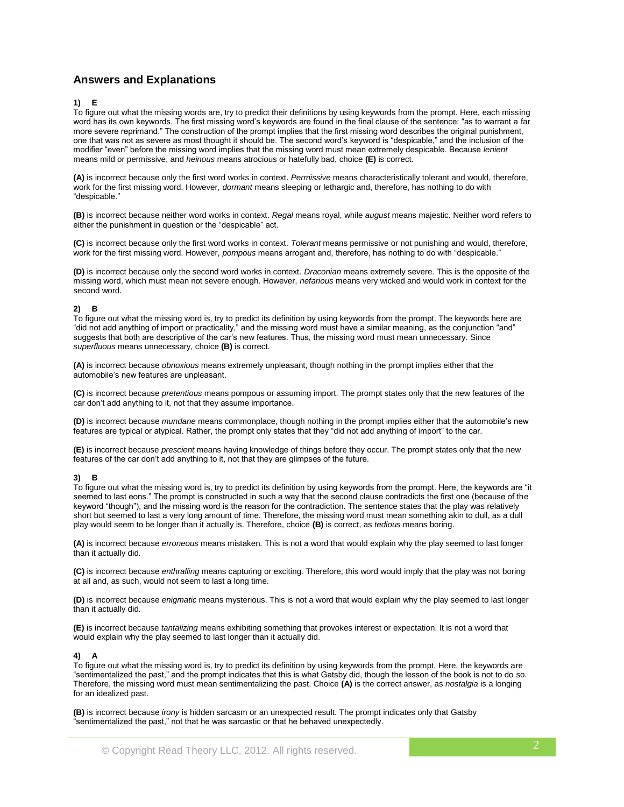## **Answers and Explanations**

### **1) E**

To figure out what the missing words are, try to predict their definitions by using keywords from the prompt. Here, each missing word has its own keywords. The first missing word's keywords are found in the final clause of the sentence: "as to warrant a far more severe reprimand." The construction of the prompt implies that the first missing word describes the original punishment, one that was not as severe as most thought it should be. The second word's keyword is "despicable," and the inclusion of the modifier "even" before the missing word implies that the missing word must mean extremely despicable. Because *lenient* means mild or permissive, and *heinous* means atrocious or hatefully bad, choice **(E)** is correct.

**(A)** is incorrect because only the first word works in context. *Permissive* means characteristically tolerant and would, therefore, work for the first missing word. However, *dormant* means sleeping or lethargic and, therefore, has nothing to do with "despicable."

**(B)** is incorrect because neither word works in context. *Regal* means royal, while *august* means majestic. Neither word refers to either the punishment in question or the "despicable" act.

**(C)** is incorrect because only the first word works in context. *Tolerant* means permissive or not punishing and would, therefore, work for the first missing word. However, *pompous* means arrogant and, therefore, has nothing to do with "despicable."

**(D)** is incorrect because only the second word works in context. *Draconian* means extremely severe. This is the opposite of the missing word, which must mean not severe enough. However, *nefarious* means very wicked and would work in context for the second word.

#### **2) B**

To figure out what the missing word is, try to predict its definition by using keywords from the prompt. The keywords here are "did not add anything of import or practicality," and the missing word must have a similar meaning, as the conjunction "and" suggests that both are descriptive of the car's new features. Thus, the missing word must mean unnecessary. Since *superfluous* means unnecessary, choice **(B)** is correct.

**(A)** is incorrect because *obnoxious* means extremely unpleasant, though nothing in the prompt implies either that the automobile's new features are unpleasant.

**(C)** is incorrect because *pretentious* means pompous or assuming import. The prompt states only that the new features of the car don't add anything to it, not that they assume importance.

**(D)** is incorrect because *mundane* means commonplace, though nothing in the prompt implies either that the automobile's new features are typical or atypical. Rather, the prompt only states that they "did not add anything of import" to the car.

**(E)** is incorrect because *prescient* means having knowledge of things before they occur. The prompt states only that the new features of the car don't add anything to it, not that they are glimpses of the future.

#### **3) B**

To figure out what the missing word is, try to predict its definition by using keywords from the prompt. Here, the keywords are "it seemed to last eons." The prompt is constructed in such a way that the second clause contradicts the first one (because of the keyword "though"), and the missing word is the reason for the contradiction. The sentence states that the play was relatively short but seemed to last a very long amount of time. Therefore, the missing word must mean something akin to dull, as a dull play would seem to be longer than it actually is. Therefore, choice **(B)** is correct, as *tedious* means boring.

**(A)** is incorrect because *erroneous* means mistaken. This is not a word that would explain why the play seemed to last longer than it actually did.

**(C)** is incorrect because *enthralling* means capturing or exciting. Therefore, this word would imply that the play was not boring at all and, as such, would not seem to last a long time.

**(D)** is incorrect because *enigmatic* means mysterious. This is not a word that would explain why the play seemed to last longer than it actually did.

**(E)** is incorrect because *tantalizing* means exhibiting something that provokes interest or expectation. It is not a word that would explain why the play seemed to last longer than it actually did.

#### **4) A**

To figure out what the missing word is, try to predict its definition by using keywords from the prompt. Here, the keywords are "sentimentalized the past," and the prompt indicates that this is what Gatsby did, though the lesson of the book is not to do so. Therefore, the missing word must mean sentimentalizing the past. Choice **(A)** is the correct answer, as *nostalgia* is a longing for an idealized past.

**(B)** is incorrect because *irony* is hidden sarcasm or an unexpected result. The prompt indicates only that Gatsby "sentimentalized the past," not that he was sarcastic or that he behaved unexpectedly.